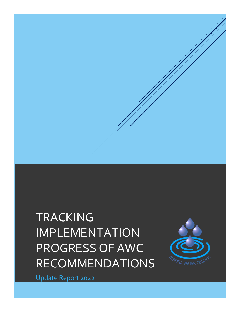# TRACKING IMPLEMENTATION PROGRESS OF AWC RECOMMENDATIONS



Update Report 2022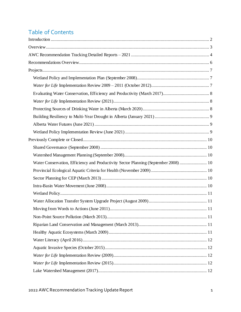## Table of Contents

| Water Conservation, Efficiency and Productivity Sector Planning (September 2008)  10 |  |
|--------------------------------------------------------------------------------------|--|
|                                                                                      |  |
|                                                                                      |  |
|                                                                                      |  |
|                                                                                      |  |
|                                                                                      |  |
|                                                                                      |  |
|                                                                                      |  |
|                                                                                      |  |
|                                                                                      |  |
|                                                                                      |  |
|                                                                                      |  |
|                                                                                      |  |
|                                                                                      |  |
|                                                                                      |  |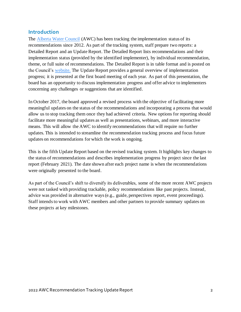## <span id="page-2-0"></span>**Introduction**

The [Alberta Water Council](https://www.awchome.ca/projects/protecting-sources-drinking-water-alberta-2/) (AWC) has been tracking the implementation status of its recommendations since 2012. As part of the tracking system, staff prepare two reports: a Detailed Report and an Update Report. The Detailed Report lists recommendations and their implementation status (provided by the identified implementer), by individual recommendation, theme, or full suite of recommendations. The Detailed Report is in table format and is posted on the Council's [website.](http://www.awchome.ca/publications/recommendation-tracking/) The Update Report provides a general overview of implementation progress; it is presented at the first board meeting of each year. As part of this presentation, the board has an opportunity to discuss implementation progress and offer advice to implementers concerning any challenges or suggestions that are identified.

In October 2017, the board approved a revised process with the objective of facilitating more meaningful updates on the status of the recommendations and incorporating a process that would allow us to stop tracking them once they had achieved criteria. New options for reporting should facilitate more meaningful updates as well as presentations, webinars, and more interactive means. This will allow the AWC to identify recommendations that will require no further updates. This is intended to streamline the recommendation tracking process and focus future updates on recommendations for which the work is ongoing.

This is the fifth Update Report based on the revised tracking system. It highlights key changes to the status of recommendations and describes implementation progress by project since the last report (February 2021). The date shown after each project name is when the recommendations were originally presented to the board.

As part of the Council's shift to diversify its deliverables, some of the more recent AWC projects were not tasked with providing trackable, policy recommendations like past projects. Instead, advice was provided in alternative ways (e.g., guide, perspectives report, event proceedings). Staff intends to work with AWC members and other partners to provide summary updates on these projects at key milestones.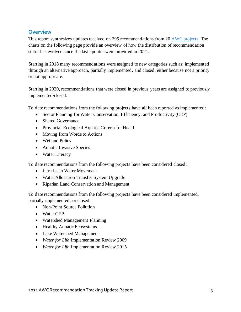## <span id="page-3-0"></span>**Overview**

This report synthesizes updates received on 295 recommendations from 20 [AWC projects.](https://www.awchome.ca/projects/protecting-sources-drinking-water-alberta-2/) The charts on the following page provide an overview of how the distribution of recommendation status has evolved since the last updates were provided in 2021.

Starting in 2018 many recommendations were assigned to new categories such as: implemented through an alternative approach, partially implemented, and closed, either because not a priority or not appropriate.

Starting in 2020, recommendations that were closed in previous years are assigned to previously implemented/closed.

To date recommendations from the following projects have **all** been reported as implemented:

- Sector Planning for Water Conservation, Efficiency, and Productivity (CEP)
- Shared Governance
- Provincial Ecological Aquatic Criteria for Health
- Moving from Words to Actions
- Wetland Policy
- Aquatic Invasive Species
- Water Literacy

To date recommendations from the following projects have been considered closed:

- Intra-basin Water Movement
- Water Allocation Transfer System Upgrade
- Riparian Land Conservation and Management

To date recommendations from the following projects have been considered implemented , partially implemented, or closed:

- Non-Point Source Pollution
- Water CEP
- Watershed Management Planning
- Healthy Aquatic Ecosystems
- Lake Watershed Management
- *Water for Life* Implementation Review 2009
- *Water for Life* Implementation Review 2015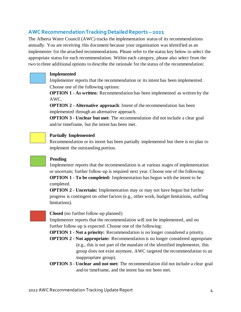## <span id="page-4-0"></span>**AWC Recommendation Tracking Detailed Reports – 2021**

The Alberta Water Council (AWC) tracks the implementation status of its recommendations annually. You are receiving this document because your organization was identified as an implementer for the attached recommendations. Please refer to the status key below to select the appropriate status for each recommendation. Within each category, please also select from the two to three additional options to describe the rationale for the status of the recommendation:

#### **Implemented**

Implementer reports that the recommendation or its intent has been implemented. Choose one of the following options:

**OPTION 1 - As written**: Recommendation has been implemented as written by the AWC.

**OPTION 2 - Alternative approach**: Intent of the recommendation has been implemented through an alternative approach.

**OPTION 3 - Unclear but met**: The recommendation did not include a clear goal and/or timeframe, but the intent has been met.



#### **Partially Implemented**

Recommendation or its intent has been partially implemented but there is no plan to implement the outstanding portion.

### **Pending**

Implementer reports that the recommendation is at various stages of implementation or uncertain; further follow-up is required next year. Choose one of the following: **OPTION 1 - To be completed:** Implementation has begun with the intent to be completed.

**OPTION 2 - Uncertain:** Implementation may or may not have begun but further progress is contingent on other factors (e.g., other work, budget limitations, staffing limitations).

#### **Closed** (no further follow-up planned)

Implementer reports that the recommendation will not be implemented, and no further follow-up is expected. Choose one of the following:

- **OPTION 1 - Not a priority:** Recommendation is no longer considered a priority.
- **OPTION 2 - Not appropriate:** Recommendation is no longer considered appropriate (e.g., this is not part of the mandate of the identified implementer, this group does not exist anymore, AWC targeted the recommendation to an inappropriate group).
- **OPTION 3 - Unclear and not met:** The recommendation did not include a clear goal and/or timeframe, and the intent has not been met.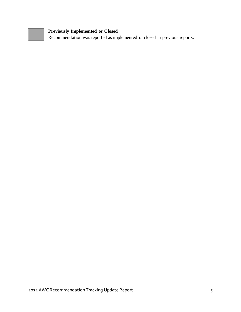## **Previously Implemented or Closed**

Recommendation was reported as implemented or closed in previous reports.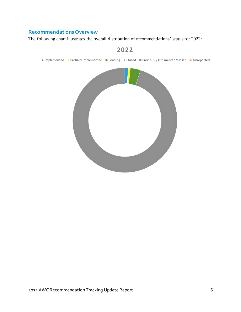## <span id="page-6-0"></span>**Recommendations Overview**

The following chart illustrates the overall distribution of recommendations' status for 2022:



**2022**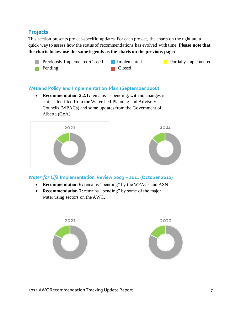## <span id="page-7-0"></span>**Projects**

This section presents project-specific updates. For each project, the charts on the right are a quick way to assess how the status of recommendations has evolved with time. **Please note that the charts below use the same legends as the charts on the previous page:**

- Previously Implemented/Closed Implemented Partially implemented ٠ **Pending Closed** 
	-

## <span id="page-7-1"></span>**Wetland Policy and Implementation Plan (September 2008)**

• **Recommendation 2.2.1:** remains as pending, with no changes in status identified from the Watershed Planning and Advisory Councils (WPACs) and some updates from the Government of Alberta (GoA).



<span id="page-7-2"></span>*Water for Life* **Implementation Review 2009 – 2011 (October 2012)**

- **Recommendation 6:** remains "pending" by the WPACs and ASN
- **Recommendation 7:** remains "pending" by some of the major water using sectors on the AWC.

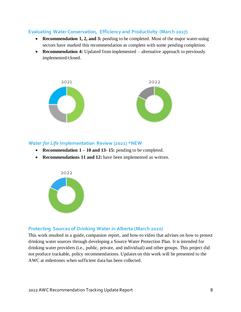### <span id="page-8-0"></span>**Evaluating Water Conservation, Efficiency and Productivity (March 2017)**

- **Recommendation 1, 2, and 3:** pending to be completed. Most of the major water-using sectors have marked this recommendation as complete with some pending completion.
- **Recommendation 4:** Updated from implemented alternative approach to previously implemented/closed.



#### <span id="page-8-1"></span>*Water for Life* **Implementation Review (2021) \*NEW**

- **Recommendation 1 – 10 and 13- 15:** pending to be completed.
- **Recommendations 11 and 12:** have been implemented as written.



#### <span id="page-8-2"></span>**Protecting Sources of Drinking Water in Alberta (March 2020)**

This work resulted in a guide, companion report, and how-to video that advises on how to protect drinking water sources through developing a Source Water Protection Plan. It is intended for drinking water providers (i.e., public, private, and individual) and other groups. This project did not produce trackable, policy recommendations. Updates on this work will be presented to the AWC at milestones when sufficient data has been collected.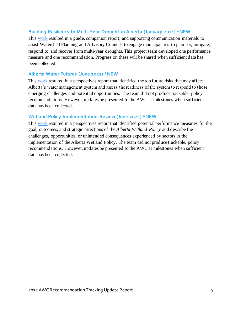## <span id="page-9-0"></span>**Building Resiliency to Multi-Year Drought in Alberta (January 2021) \*NEW**

This [work](https://www.awchome.ca/projects/building-resiliency-multi-year-drought-6/) resulted in a guide, companion report, and supporting communication materials to assist Watershed Planning and Advisory Councils to engage municipalities to plan for, mitigate, respond to, and recover from multi-year droughts. This project team developed one performance measure and one recommendation. Progress on these will be shared when sufficient data has been collected.

#### <span id="page-9-1"></span>**Alberta Water Futures (June 2021) \*NEW**

This [work](https://www.awchome.ca/projects/alberta-water-futures-26/) resulted in a perspectives report that identified the top future risks that may affect Alberta's water management system and assess the readiness of the system to respond to those emerging challenges and potential opportunities. The team did not produce trackable, policy recommendations. However, updates be presented to the AWC at milestones when sufficient data has been collected.

#### <span id="page-9-2"></span>**Wetland Policy Implementation Review (June 2021) \*NEW**

This [work](https://www.awchome.ca/projects/alberta-water-futures-26/) resulted in a perspectives report that identified potential performance measures for the goal, outcomes, and strategic directions of the *Alberta Wetland Policy* and describe the challenges, opportunities, or unintended consequences experienced by sectors in the implementation of the Alberta Wetland Policy. The team did not produce trackable, policy recommendations. However, updates be presented to the AWC at milestones when sufficient data has been collected.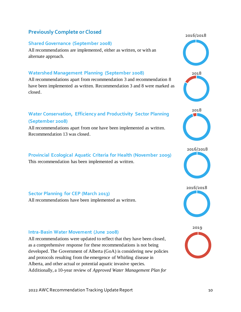## <span id="page-10-0"></span>**Previously Complete or Closed**

## <span id="page-10-1"></span>**Shared Governance (September 2008)**

All recommendations are implemented, either as written, or with an alternate approach.

## <span id="page-10-2"></span>**Watershed Management Planning (September 2008)**

All recommendations apart from recommendation 3 and recommendation 8 have been implemented as written. Recommendation 3 and 8 were marked as closed.

## <span id="page-10-3"></span>**Water Conservation, Efficiency and Productivity Sector Planning (September 2008)**

All recommendations apart from one have been implemented as written. Recommendation 13 was closed.

<span id="page-10-4"></span>**Provincial Ecological Aquatic Criteria for Health (November 2009)** This recommendation has been implemented as written.

<span id="page-10-5"></span>**Sector Planning for CEP (March 2013)** All recommendations have been implemented as written.

### <span id="page-10-6"></span>**Intra-Basin Water Movement (June 2008)**

All recommendations were updated to reflect that they have been closed, as a comprehensive response for these recommendations is not being developed. The Government of Alberta (GoA) is considering new policies and protocols resulting from the emergence of Whirling disease in Alberta, and other actual or potential aquatic invasive species. Additionally, a 10-year review of *Approved Water Management Plan for* 

**2018**

**2018**

**2016/2018**

**2016/2018**

**2019**

**2016/2018**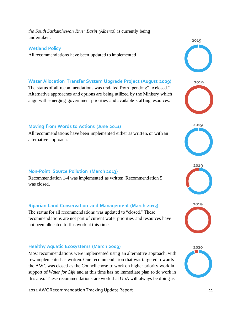2022 AWC Recommendation Tracking Update Report 11 11

*the South Saskatchewan River Basin (Alberta)* is currently being undertaken.

## <span id="page-11-0"></span>**Wetland Policy**

All recommendations have been updated to implemented.

## <span id="page-11-1"></span>**Water Allocation Transfer System Upgrade Project (August 2009)**

The status of all recommendations was updated from "pending" to closed." Alternative approaches and options are being utilized by the Ministry which align with emerging government priorities and available staffing resources.

## <span id="page-11-2"></span>**Moving from Words to Actions (June 2011)**

All recommendations have been implemented either as written, or with an alternative approach.

## <span id="page-11-3"></span>**Non-Point Source Pollution (March 2013)**

Recommendation 1-4 was implemented as written. Recommendation 5 was closed.

## <span id="page-11-4"></span>**Riparian Land Conservation and Management (March 2013)**

The status for all recommendations was updated to "closed." These recommendations are not part of current water priorities and resources have not been allocated to this work at this time.

## <span id="page-11-5"></span>**Healthy Aquatic Ecosystems (March 2009)**

Most recommendations were implemented using an alternative approach, with few implemented as written. One recommendation that was targeted towards the AWC was closed as the Council chose to work on higher priority work in support of *Water for Life* and at this time has no immediate plan to do work in this area. These recommendations are work that GoA will always be doing as









**2019**



**2019**